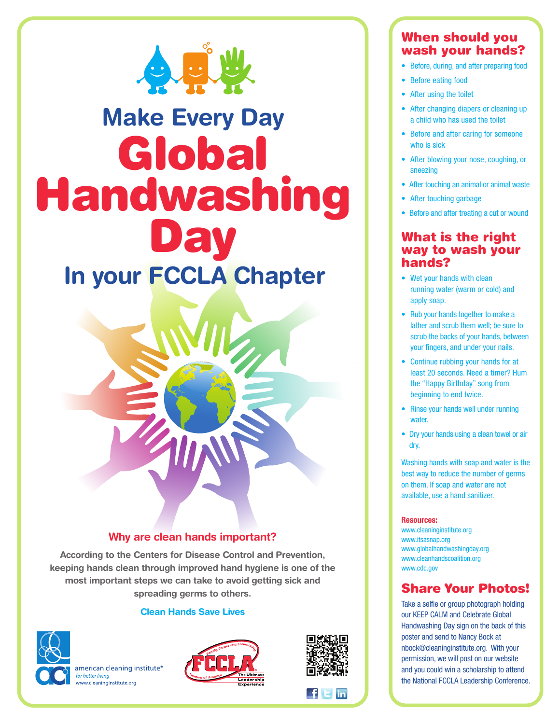

# **Make Every Day Global Handwashing Day In your FCCLA Chapter**

### **Why are clean hands important?**

**According to the Centers for Disease Control and Prevention, keeping hands clean through improved hand hygiene is one of the most important steps we can take to avoid getting sick and spreading germs to others.**

### **Clean Hands Save Lives**



american cleaning institute<sup>®</sup> for better living www.cleaninginstitute.org





 $\blacksquare$ f $\blacksquare$ F $\blacksquare$ in

# **When should you wash your hands?**

- **•** Before, during, and after preparing food
- **•** Before eating food
- **•** After using the toilet
- **•** After changing diapers or cleaning up a child who has used the toilet
- **•** Before and after caring for someone who is sick
- **•** After blowing your nose, coughing, or sneezing
- **•** After touching an animal or animal waste
- **•** After touching garbage
- **•** Before and after treating a cut or wound

### **What is the right way to wash your hands?**

- **•** Wet your hands with clean running water (warm or cold) and apply soap.
- **•** Rub your hands together to make a lather and scrub them well; be sure to scrub the backs of your hands, between your fingers, and under your nails.
- **•** Continue rubbing your hands for at least 20 seconds. Need a timer? Hum the "Happy Birthday" song from beginning to end twice.
- **•** Rinse your hands well under running water.
- **•** Dry your hands using a clean towel or air dry.

Washing hands with soap and water is the best way to reduce the number of germs on them. If soap and water are not available, use a hand sanitizer.

### **Resources:**

www.cleaninginstitute.org www.itsasnap.org www.globalhandwashingday.org www.cleanhandscoalition.org www.cdc.gov

# **Share Your Photos!**

Take a selfie or group photograph holding our KEEP CALM and Celebrate Global Handwashing Day sign on the back of this poster and send to Nancy Bock at nbock@cleaninginstitute.org. With your permission, we will post on our website and you could win a scholarship to attend the National FCCLA Leadership Conference.